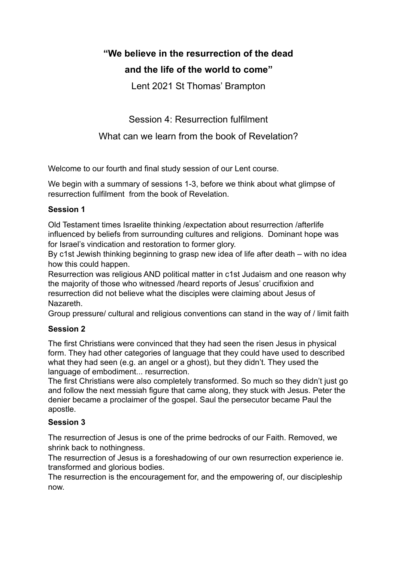# **"We believe in the resurrection of the dead and the life of the world to come"**

Lent 2021 St Thomas' Brampton

Session 4: Resurrection fulfilment

# What can we learn from the book of Revelation?

Welcome to our fourth and final study session of our Lent course.

We begin with a summary of sessions 1-3, before we think about what glimpse of resurrection fulfilment from the book of Revelation.

# **Session 1**

Old Testament times Israelite thinking /expectation about resurrection /afterlife influenced by beliefs from surrounding cultures and religions. Dominant hope was for Israel's vindication and restoration to former glory.

By c1st Jewish thinking beginning to grasp new idea of life after death – with no idea how this could happen.

Resurrection was religious AND political matter in c1st Judaism and one reason why the majority of those who witnessed /heard reports of Jesus' crucifixion and resurrection did not believe what the disciples were claiming about Jesus of Nazareth.

Group pressure/ cultural and religious conventions can stand in the way of / limit faith

# **Session 2**

The first Christians were convinced that they had seen the risen Jesus in physical form. They had other categories of language that they could have used to described what they had seen (e.g. an angel or a ghost), but they didn't. They used the language of embodiment... resurrection.

The first Christians were also completely transformed. So much so they didn't just go and follow the next messiah figure that came along, they stuck with Jesus. Peter the denier became a proclaimer of the gospel. Saul the persecutor became Paul the apostle.

# **Session 3**

The resurrection of Jesus is one of the prime bedrocks of our Faith. Removed, we shrink back to nothingness.

The resurrection of Jesus is a foreshadowing of our own resurrection experience ie. transformed and glorious bodies.

The resurrection is the encouragement for, and the empowering of, our discipleship now.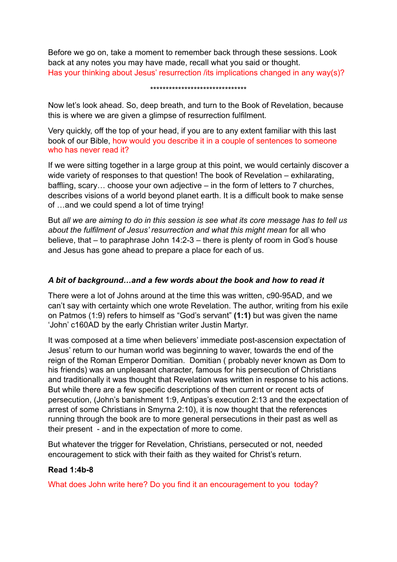Before we go on, take a moment to remember back through these sessions. Look back at any notes you may have made, recall what you said or thought. Has your thinking about Jesus' resurrection /its implications changed in any way(s)?

#### \*\*\*\*\*\*\*\*\*\*\*\*\*\*\*\*\*\*\*\*\*\*\*\*\*\*\*\*\*\*\*

Now let's look ahead. So, deep breath, and turn to the Book of Revelation, because this is where we are given a glimpse of resurrection fulfilment.

Very quickly, off the top of your head, if you are to any extent familiar with this last book of our Bible, how would you describe it in a couple of sentences to someone who has never read it?

If we were sitting together in a large group at this point, we would certainly discover a wide variety of responses to that question! The book of Revelation – exhilarating, baffling, scary… choose your own adjective – in the form of letters to 7 churches, describes visions of a world beyond planet earth. It is a difficult book to make sense of …and we could spend a lot of time trying!

But *all we are aiming to do in this session is see what its core message has to tell us about the fulfilment of Jesus' resurrection and what this might mean* for all who believe, that – to paraphrase John 14:2-3 – there is plenty of room in God's house and Jesus has gone ahead to prepare a place for each of us.

## *A bit of background…and a few words about the book and how to read it*

There were a lot of Johns around at the time this was written, c90-95AD, and we can't say with certainty which one wrote Revelation. The author, writing from his exile on Patmos (1:9) refers to himself as "God's servant" **(1:1)** but was given the name 'John' c160AD by the early Christian writer Justin Martyr.

It was composed at a time when believers' immediate post-ascension expectation of Jesus' return to our human world was beginning to waver, towards the end of the reign of the Roman Emperor Domitian. Domitian ( probably never known as Dom to his friends) was an unpleasant character, famous for his persecution of Christians and traditionally it was thought that Revelation was written in response to his actions. But while there are a few specific descriptions of then current or recent acts of persecution, (John's banishment 1:9, Antipas's execution 2:13 and the expectation of arrest of some Christians in Smyrna 2:10), it is now thought that the references running through the book are to more general persecutions in their past as well as their present - and in the expectation of more to come.

But whatever the trigger for Revelation, Christians, persecuted or not, needed encouragement to stick with their faith as they waited for Christ's return.

# **Read 1:4b-8**

What does John write here? Do you find it an encouragement to you today?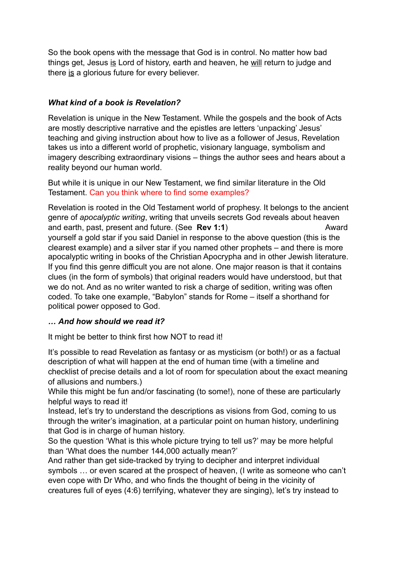So the book opens with the message that God is in control. No matter how bad things get, Jesus is Lord of history, earth and heaven, he will return to judge and there is a glorious future for every believer.

# *What kind of a book is Revelation?*

Revelation is unique in the New Testament. While the gospels and the book of Acts are mostly descriptive narrative and the epistles are letters 'unpacking' Jesus' teaching and giving instruction about how to live as a follower of Jesus, Revelation takes us into a different world of prophetic, visionary language, symbolism and imagery describing extraordinary visions – things the author sees and hears about a reality beyond our human world.

But while it is unique in our New Testament, we find similar literature in the Old Testament. Can you think where to find some examples?

Revelation is rooted in the Old Testament world of prophesy. It belongs to the ancient genre of *apocalyptic writing*, writing that unveils secrets God reveals about heaven and earth, past, present and future. (See **Rev 1:1**) Award yourself a gold star if you said Daniel in response to the above question (this is the clearest example) and a silver star if you named other prophets – and there is more apocalyptic writing in books of the Christian Apocrypha and in other Jewish literature. If you find this genre difficult you are not alone. One major reason is that it contains clues (in the form of symbols) that original readers would have understood, but that we do not. And as no writer wanted to risk a charge of sedition, writing was often coded. To take one example, "Babylon" stands for Rome – itself a shorthand for political power opposed to God.

# *… And how should we read it?*

It might be better to think first how NOT to read it!

It's possible to read Revelation as fantasy or as mysticism (or both!) or as a factual description of what will happen at the end of human time (with a timeline and checklist of precise details and a lot of room for speculation about the exact meaning of allusions and numbers.)

While this might be fun and/or fascinating (to some!), none of these are particularly helpful ways to read it!

Instead, let's try to understand the descriptions as visions from God, coming to us through the writer's imagination, at a particular point on human history, underlining that God is in charge of human history.

So the question 'What is this whole picture trying to tell us?' may be more helpful than 'What does the number 144,000 actually mean?'

And rather than get side-tracked by trying to decipher and interpret individual symbols … or even scared at the prospect of heaven, (I write as someone who can't even cope with Dr Who, and who finds the thought of being in the vicinity of creatures full of eyes (4:6) terrifying, whatever they are singing), let's try instead to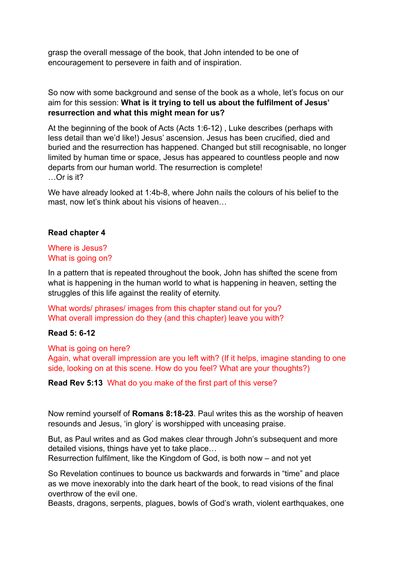grasp the overall message of the book, that John intended to be one of encouragement to persevere in faith and of inspiration.

So now with some background and sense of the book as a whole, let's focus on our aim for this session: **What is it trying to tell us about the fulfilment of Jesus' resurrection and what this might mean for us?** 

At the beginning of the book of Acts (Acts 1:6-12) , Luke describes (perhaps with less detail than we'd like!) Jesus' ascension. Jesus has been crucified, died and buried and the resurrection has happened. Changed but still recognisable, no longer limited by human time or space, Jesus has appeared to countless people and now departs from our human world. The resurrection is complete! …Or is it?

We have already looked at 1:4b-8, where John nails the colours of his belief to the mast, now let's think about his visions of heaven...

#### **Read chapter 4**

## Where is Jesus? What is going on?

In a pattern that is repeated throughout the book, John has shifted the scene from what is happening in the human world to what is happening in heaven, setting the struggles of this life against the reality of eternity.

What words/ phrases/ images from this chapter stand out for you? What overall impression do they (and this chapter) leave you with?

#### **Read 5: 6-12**

What is going on here?

Again, what overall impression are you left with? (If it helps, imagine standing to one side, looking on at this scene. How do you feel? What are your thoughts?)

#### **Read Rev 5:13** What do you make of the first part of this verse?

Now remind yourself of **Romans 8:18-23**. Paul writes this as the worship of heaven resounds and Jesus, 'in glory' is worshipped with unceasing praise.

But, as Paul writes and as God makes clear through John's subsequent and more detailed visions, things have yet to take place…

Resurrection fulfilment, like the Kingdom of God, is both now – and not yet

So Revelation continues to bounce us backwards and forwards in "time" and place as we move inexorably into the dark heart of the book, to read visions of the final overthrow of the evil one.

Beasts, dragons, serpents, plagues, bowls of God's wrath, violent earthquakes, one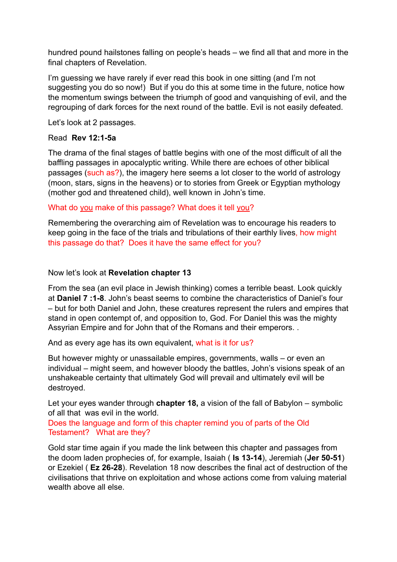hundred pound hailstones falling on people's heads – we find all that and more in the final chapters of Revelation.

I'm guessing we have rarely if ever read this book in one sitting (and I'm not suggesting you do so now!) But if you do this at some time in the future, notice how the momentum swings between the triumph of good and vanquishing of evil, and the regrouping of dark forces for the next round of the battle. Evil is not easily defeated.

Let's look at 2 passages.

# Read **Rev 12:1-5a**

The drama of the final stages of battle begins with one of the most difficult of all the baffling passages in apocalyptic writing. While there are echoes of other biblical passages (such as?), the imagery here seems a lot closer to the world of astrology (moon, stars, signs in the heavens) or to stories from Greek or Egyptian mythology (mother god and threatened child), well known in John's time.

What do you make of this passage? What does it tell you?

Remembering the overarching aim of Revelation was to encourage his readers to keep going in the face of the trials and tribulations of their earthly lives, how might this passage do that? Does it have the same effect for you?

Now let's look at **Revelation chapter 13**

From the sea (an evil place in Jewish thinking) comes a terrible beast. Look quickly at **Daniel 7 :1-8**. John's beast seems to combine the characteristics of Daniel's four – but for both Daniel and John, these creatures represent the rulers and empires that stand in open contempt of, and opposition to, God. For Daniel this was the mighty Assyrian Empire and for John that of the Romans and their emperors. .

And as every age has its own equivalent, what is it for us?

But however mighty or unassailable empires, governments, walls – or even an individual – might seem, and however bloody the battles, John's visions speak of an unshakeable certainty that ultimately God will prevail and ultimately evil will be destroyed.

Let your eyes wander through **chapter 18,** a vision of the fall of Babylon – symbolic of all that was evil in the world.

Does the language and form of this chapter remind you of parts of the Old Testament? What are they?

Gold star time again if you made the link between this chapter and passages from the doom laden prophecies of, for example, Isaiah ( **Is 13-14**), Jeremiah (**Jer 50-51**) or Ezekiel ( **Ez 26-28**). Revelation 18 now describes the final act of destruction of the civilisations that thrive on exploitation and whose actions come from valuing material wealth above all else.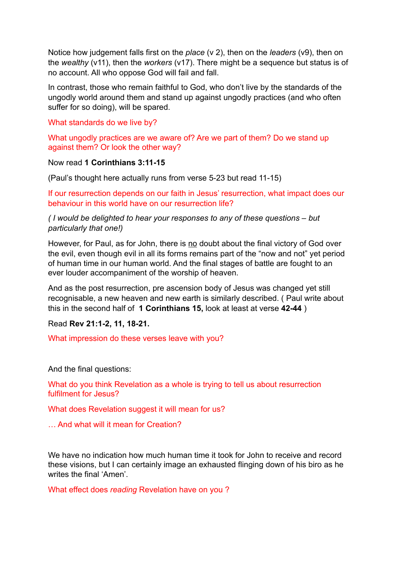Notice how judgement falls first on the *place* (v 2), then on the *leaders* (v9), then on the *wealthy* (v11), then the *workers* (v17). There might be a sequence but status is of no account. All who oppose God will fail and fall.

In contrast, those who remain faithful to God, who don't live by the standards of the ungodly world around them and stand up against ungodly practices (and who often suffer for so doing), will be spared.

## What standards do we live by?

What ungodly practices are we aware of? Are we part of them? Do we stand up against them? Or look the other way?

#### Now read **1 Corinthians 3:11-15**

(Paul's thought here actually runs from verse 5-23 but read 11-15)

If our resurrection depends on our faith in Jesus' resurrection, what impact does our behaviour in this world have on our resurrection life?

*( I would be delighted to hear your responses to any of these questions – but particularly that one!)* 

However, for Paul, as for John, there is no doubt about the final victory of God over the evil, even though evil in all its forms remains part of the "now and not" yet period of human time in our human world. And the final stages of battle are fought to an ever louder accompaniment of the worship of heaven.

And as the post resurrection, pre ascension body of Jesus was changed yet still recognisable, a new heaven and new earth is similarly described. ( Paul write about this in the second half of **1 Corinthians 15,** look at least at verse **42-44** )

Read **Rev 21:1-2, 11, 18-21.** 

What impression do these verses leave with you?

And the final questions:

What do you think Revelation as a whole is trying to tell us about resurrection fulfilment for Jesus?

What does Revelation suggest it will mean for us?

… And what will it mean for Creation?

We have no indication how much human time it took for John to receive and record these visions, but I can certainly image an exhausted flinging down of his biro as he writes the final 'Amen'.

What effect does *reading* Revelation have on you ?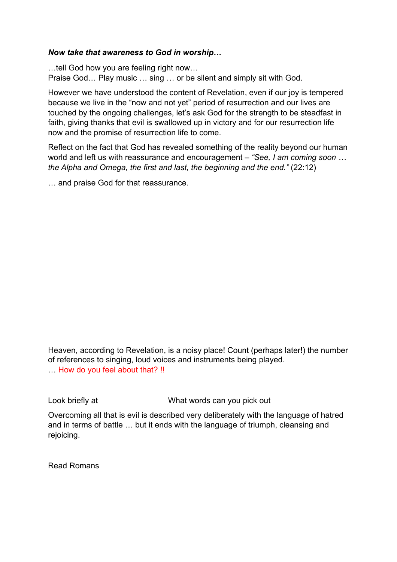# *Now take that awareness to God in worship…*

…tell God how you are feeling right now… Praise God… Play music … sing … or be silent and simply sit with God.

However we have understood the content of Revelation, even if our joy is tempered because we live in the "now and not yet" period of resurrection and our lives are touched by the ongoing challenges, let's ask God for the strength to be steadfast in faith, giving thanks that evil is swallowed up in victory and for our resurrection life now and the promise of resurrection life to come.

Reflect on the fact that God has revealed something of the reality beyond our human world and left us with reassurance and encouragement – *"See, I am coming soon … the Alpha and Omega, the first and last, the beginning and the end."* (22:12)

… and praise God for that reassurance.

Heaven, according to Revelation, is a noisy place! Count (perhaps later!) the number of references to singing, loud voices and instruments being played. … How do you feel about that? !!

Look briefly at **What words can you pick out** 

Overcoming all that is evil is described very deliberately with the language of hatred and in terms of battle … but it ends with the language of triumph, cleansing and rejoicing.

Read Romans